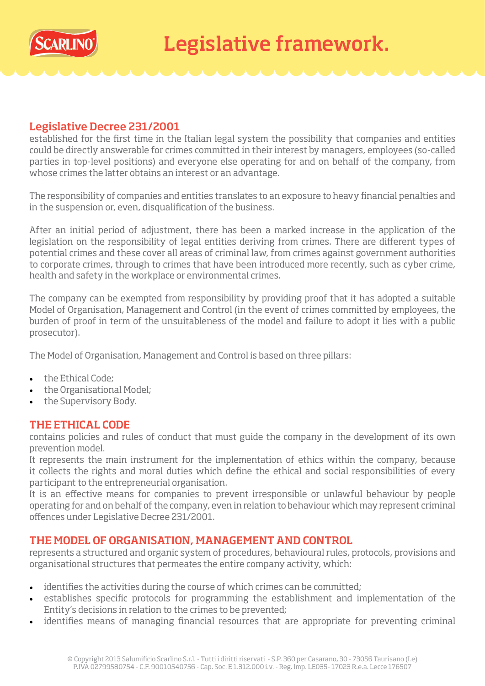

## Legislative Decree 231/2001

established for the first time in the Italian legal system the possibility that companies and entities could be directly answerable for crimes committed in their interest by managers, employees (so-called parties in top-level positions) and everyone else operating for and on behalf of the company, from whose crimes the latter obtains an interest or an advantage.

The responsibility of companies and entities translates to an exposure to heavy financial penalties and in the suspension or, even, disqualification of the business.

After an initial period of adjustment, there has been a marked increase in the application of the legislation on the responsibility of legal entities deriving from crimes. There are different types of potential crimes and these cover all areas of criminal law, from crimes against government authorities to corporate crimes, through to crimes that have been introduced more recently, such as cyber crime, health and safety in the workplace or environmental crimes.

The company can be exempted from responsibility by providing proof that it has adopted a suitable Model of Organisation, Management and Control (in the event of crimes committed by employees, the burden of proof in term of the unsuitableness of the model and failure to adopt it lies with a public prosecutor).

The Model of Organisation, Management and Control is based on three pillars:

- the Ethical Code;
- the Organisational Model;
- the Supervisory Body.

## THE ETHICAL CODE

contains policies and rules of conduct that must guide the company in the development of its own prevention model.

It represents the main instrument for the implementation of ethics within the company, because it collects the rights and moral duties which define the ethical and social responsibilities of every participant to the entrepreneurial organisation.

It is an effective means for companies to prevent irresponsible or unlawful behaviour by people operating for and on behalf of the company, even in relation to behaviour which may represent criminal offences under Legislative Decree 231/2001.

## THE MODEL OF ORGANISATION, MANAGEMENT AND CONTROL

represents a structured and organic system of procedures, behavioural rules, protocols, provisions and organisational structures that permeates the entire company activity, which:

- identifies the activities during the course of which crimes can be committed;
- establishes specific protocols for programming the establishment and implementation of the Entity's decisions in relation to the crimes to be prevented;
- identifies means of managing financial resources that are appropriate for preventing criminal